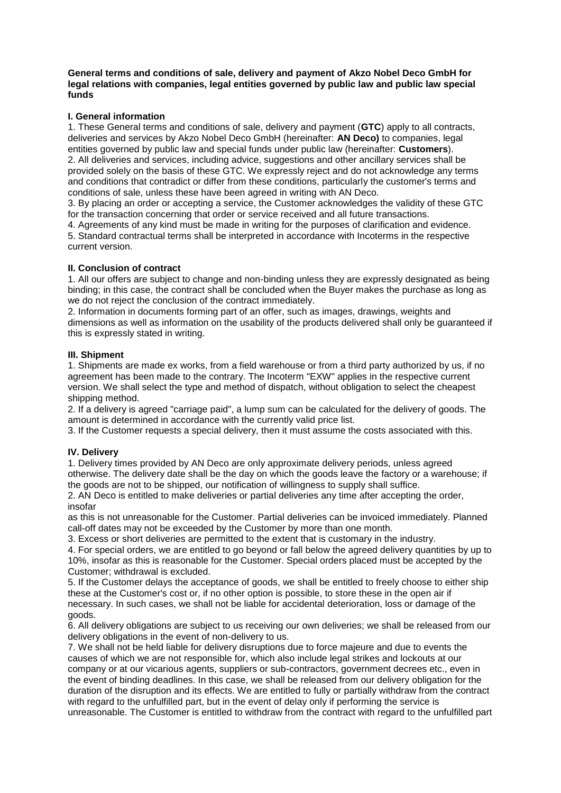**General terms and conditions of sale, delivery and payment of Akzo Nobel Deco GmbH for legal relations with companies, legal entities governed by public law and public law special funds**

## **I. General information**

1. These General terms and conditions of sale, delivery and payment (**GTC**) apply to all contracts, deliveries and services by Akzo Nobel Deco GmbH (hereinafter: **AN Deco)** to companies, legal entities governed by public law and special funds under public law (hereinafter: **Customers**). 2. All deliveries and services, including advice, suggestions and other ancillary services shall be provided solely on the basis of these GTC. We expressly reject and do not acknowledge any terms and conditions that contradict or differ from these conditions, particularly the customer's terms and conditions of sale, unless these have been agreed in writing with AN Deco.

3. By placing an order or accepting a service, the Customer acknowledges the validity of these GTC for the transaction concerning that order or service received and all future transactions.

4. Agreements of any kind must be made in writing for the purposes of clarification and evidence. 5. Standard contractual terms shall be interpreted in accordance with Incoterms in the respective current version.

## **II. Conclusion of contract**

1. All our offers are subject to change and non-binding unless they are expressly designated as being binding; in this case, the contract shall be concluded when the Buyer makes the purchase as long as we do not reject the conclusion of the contract immediately.

2. Information in documents forming part of an offer, such as images, drawings, weights and dimensions as well as information on the usability of the products delivered shall only be guaranteed if this is expressly stated in writing.

## **III. Shipment**

1. Shipments are made ex works, from a field warehouse or from a third party authorized by us, if no agreement has been made to the contrary. The Incoterm "EXW" applies in the respective current version. We shall select the type and method of dispatch, without obligation to select the cheapest shipping method.

2. If a delivery is agreed "carriage paid", a lump sum can be calculated for the delivery of goods. The amount is determined in accordance with the currently valid price list.

3. If the Customer requests a special delivery, then it must assume the costs associated with this.

# **IV. Delivery**

1. Delivery times provided by AN Deco are only approximate delivery periods, unless agreed otherwise. The delivery date shall be the day on which the goods leave the factory or a warehouse; if the goods are not to be shipped, our notification of willingness to supply shall suffice.

2. AN Deco is entitled to make deliveries or partial deliveries any time after accepting the order, insofar

as this is not unreasonable for the Customer. Partial deliveries can be invoiced immediately. Planned call-off dates may not be exceeded by the Customer by more than one month.

3. Excess or short deliveries are permitted to the extent that is customary in the industry.

4. For special orders, we are entitled to go beyond or fall below the agreed delivery quantities by up to 10%, insofar as this is reasonable for the Customer. Special orders placed must be accepted by the Customer; withdrawal is excluded.

5. If the Customer delays the acceptance of goods, we shall be entitled to freely choose to either ship these at the Customer's cost or, if no other option is possible, to store these in the open air if necessary. In such cases, we shall not be liable for accidental deterioration, loss or damage of the goods.

6. All delivery obligations are subject to us receiving our own deliveries; we shall be released from our delivery obligations in the event of non-delivery to us.

7. We shall not be held liable for delivery disruptions due to force majeure and due to events the causes of which we are not responsible for, which also include legal strikes and lockouts at our company or at our vicarious agents, suppliers or sub-contractors, government decrees etc., even in the event of binding deadlines. In this case, we shall be released from our delivery obligation for the duration of the disruption and its effects. We are entitled to fully or partially withdraw from the contract with regard to the unfulfilled part, but in the event of delay only if performing the service is unreasonable. The Customer is entitled to withdraw from the contract with regard to the unfulfilled part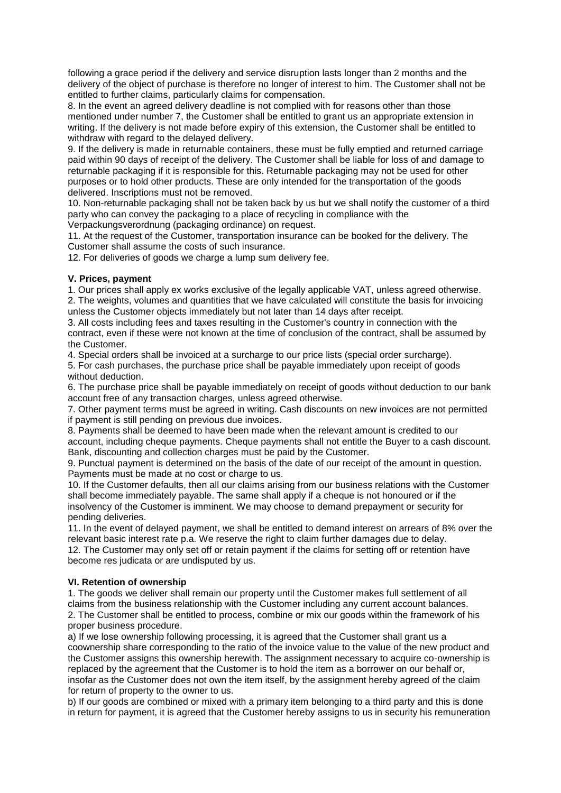following a grace period if the delivery and service disruption lasts longer than 2 months and the delivery of the object of purchase is therefore no longer of interest to him. The Customer shall not be entitled to further claims, particularly claims for compensation.

8. In the event an agreed delivery deadline is not complied with for reasons other than those mentioned under number 7, the Customer shall be entitled to grant us an appropriate extension in writing. If the delivery is not made before expiry of this extension, the Customer shall be entitled to withdraw with regard to the delayed delivery.

9. If the delivery is made in returnable containers, these must be fully emptied and returned carriage paid within 90 days of receipt of the delivery. The Customer shall be liable for loss of and damage to returnable packaging if it is responsible for this. Returnable packaging may not be used for other purposes or to hold other products. These are only intended for the transportation of the goods delivered. Inscriptions must not be removed.

10. Non-returnable packaging shall not be taken back by us but we shall notify the customer of a third party who can convey the packaging to a place of recycling in compliance with the Verpackungsverordnung (packaging ordinance) on request.

11. At the request of the Customer, transportation insurance can be booked for the delivery. The Customer shall assume the costs of such insurance.

12. For deliveries of goods we charge a lump sum delivery fee.

## **V. Prices, payment**

1. Our prices shall apply ex works exclusive of the legally applicable VAT, unless agreed otherwise.

2. The weights, volumes and quantities that we have calculated will constitute the basis for invoicing unless the Customer objects immediately but not later than 14 days after receipt.

3. All costs including fees and taxes resulting in the Customer's country in connection with the contract, even if these were not known at the time of conclusion of the contract, shall be assumed by the Customer.

4. Special orders shall be invoiced at a surcharge to our price lists (special order surcharge).

5. For cash purchases, the purchase price shall be payable immediately upon receipt of goods without deduction.

6. The purchase price shall be payable immediately on receipt of goods without deduction to our bank account free of any transaction charges, unless agreed otherwise.

7. Other payment terms must be agreed in writing. Cash discounts on new invoices are not permitted if payment is still pending on previous due invoices.

8. Payments shall be deemed to have been made when the relevant amount is credited to our account, including cheque payments. Cheque payments shall not entitle the Buyer to a cash discount. Bank, discounting and collection charges must be paid by the Customer.

9. Punctual payment is determined on the basis of the date of our receipt of the amount in question. Payments must be made at no cost or charge to us.

10. If the Customer defaults, then all our claims arising from our business relations with the Customer shall become immediately payable. The same shall apply if a cheque is not honoured or if the insolvency of the Customer is imminent. We may choose to demand prepayment or security for pending deliveries.

11. In the event of delayed payment, we shall be entitled to demand interest on arrears of 8% over the relevant basic interest rate p.a. We reserve the right to claim further damages due to delay.

12. The Customer may only set off or retain payment if the claims for setting off or retention have become res judicata or are undisputed by us.

# **VI. Retention of ownership**

1. The goods we deliver shall remain our property until the Customer makes full settlement of all claims from the business relationship with the Customer including any current account balances. 2. The Customer shall be entitled to process, combine or mix our goods within the framework of his proper business procedure.

a) If we lose ownership following processing, it is agreed that the Customer shall grant us a coownership share corresponding to the ratio of the invoice value to the value of the new product and the Customer assigns this ownership herewith. The assignment necessary to acquire co-ownership is replaced by the agreement that the Customer is to hold the item as a borrower on our behalf or, insofar as the Customer does not own the item itself, by the assignment hereby agreed of the claim for return of property to the owner to us.

b) If our goods are combined or mixed with a primary item belonging to a third party and this is done in return for payment, it is agreed that the Customer hereby assigns to us in security his remuneration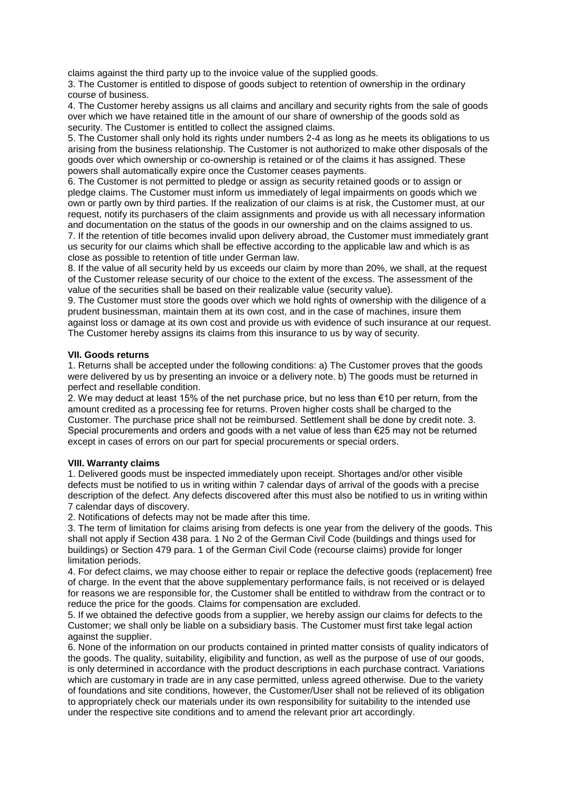claims against the third party up to the invoice value of the supplied goods.

3. The Customer is entitled to dispose of goods subject to retention of ownership in the ordinary course of business.

4. The Customer hereby assigns us all claims and ancillary and security rights from the sale of goods over which we have retained title in the amount of our share of ownership of the goods sold as security. The Customer is entitled to collect the assigned claims.

5. The Customer shall only hold its rights under numbers 2-4 as long as he meets its obligations to us arising from the business relationship. The Customer is not authorized to make other disposals of the goods over which ownership or co-ownership is retained or of the claims it has assigned. These powers shall automatically expire once the Customer ceases payments.

6. The Customer is not permitted to pledge or assign as security retained goods or to assign or pledge claims. The Customer must inform us immediately of legal impairments on goods which we own or partly own by third parties. If the realization of our claims is at risk, the Customer must, at our request, notify its purchasers of the claim assignments and provide us with all necessary information and documentation on the status of the goods in our ownership and on the claims assigned to us.

7. If the retention of title becomes invalid upon delivery abroad, the Customer must immediately grant us security for our claims which shall be effective according to the applicable law and which is as close as possible to retention of title under German law.

8. If the value of all security held by us exceeds our claim by more than 20%, we shall, at the request of the Customer release security of our choice to the extent of the excess. The assessment of the value of the securities shall be based on their realizable value (security value).

9. The Customer must store the goods over which we hold rights of ownership with the diligence of a prudent businessman, maintain them at its own cost, and in the case of machines, insure them against loss or damage at its own cost and provide us with evidence of such insurance at our request. The Customer hereby assigns its claims from this insurance to us by way of security.

## **VII. Goods returns**

1. Returns shall be accepted under the following conditions: a) The Customer proves that the goods were delivered by us by presenting an invoice or a delivery note. b) The goods must be returned in perfect and resellable condition.

2. We may deduct at least 15% of the net purchase price, but no less than €10 per return, from the amount credited as a processing fee for returns. Proven higher costs shall be charged to the Customer. The purchase price shall not be reimbursed. Settlement shall be done by credit note. 3. Special procurements and orders and goods with a net value of less than €25 may not be returned except in cases of errors on our part for special procurements or special orders.

#### **VIII. Warranty claims**

1. Delivered goods must be inspected immediately upon receipt. Shortages and/or other visible defects must be notified to us in writing within 7 calendar days of arrival of the goods with a precise description of the defect. Any defects discovered after this must also be notified to us in writing within 7 calendar days of discovery.

2. Notifications of defects may not be made after this time.

3. The term of limitation for claims arising from defects is one year from the delivery of the goods. This shall not apply if Section 438 para. 1 No 2 of the German Civil Code (buildings and things used for buildings) or Section 479 para. 1 of the German Civil Code (recourse claims) provide for longer limitation periods.

4. For defect claims, we may choose either to repair or replace the defective goods (replacement) free of charge. In the event that the above supplementary performance fails, is not received or is delayed for reasons we are responsible for, the Customer shall be entitled to withdraw from the contract or to reduce the price for the goods. Claims for compensation are excluded.

5. If we obtained the defective goods from a supplier, we hereby assign our claims for defects to the Customer; we shall only be liable on a subsidiary basis. The Customer must first take legal action against the supplier.

6. None of the information on our products contained in printed matter consists of quality indicators of the goods. The quality, suitability, eligibility and function, as well as the purpose of use of our goods, is only determined in accordance with the product descriptions in each purchase contract. Variations which are customary in trade are in any case permitted, unless agreed otherwise. Due to the variety of foundations and site conditions, however, the Customer/User shall not be relieved of its obligation to appropriately check our materials under its own responsibility for suitability to the intended use under the respective site conditions and to amend the relevant prior art accordingly.